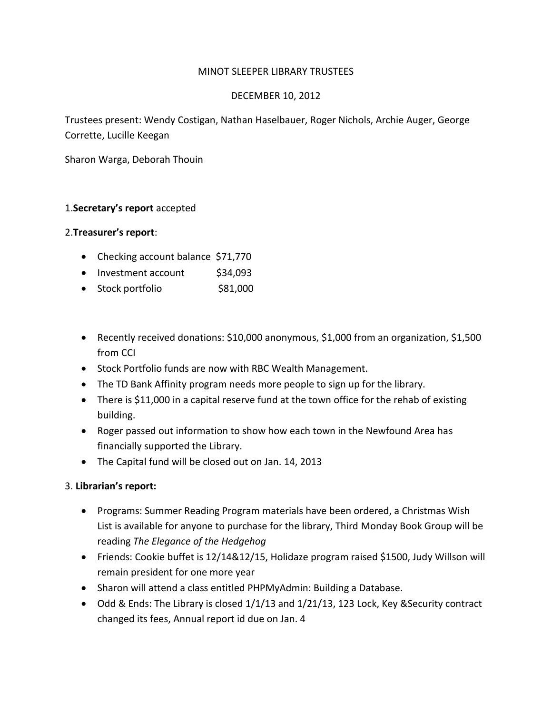### MINOT SLEEPER LIBRARY TRUSTEES

#### DECEMBER 10, 2012

Trustees present: Wendy Costigan, Nathan Haselbauer, Roger Nichols, Archie Auger, George Corrette, Lucille Keegan

Sharon Warga, Deborah Thouin

### 1.**Secretary's report** accepted

#### 2.**Treasurer's report**:

- Checking account balance \$71,770
- Investment account \$34,093
- Stock portfolio \$81,000
- Recently received donations: \$10,000 anonymous, \$1,000 from an organization, \$1,500 from CCI
- Stock Portfolio funds are now with RBC Wealth Management.
- The TD Bank Affinity program needs more people to sign up for the library.
- There is \$11,000 in a capital reserve fund at the town office for the rehab of existing building.
- Roger passed out information to show how each town in the Newfound Area has financially supported the Library.
- The Capital fund will be closed out on Jan. 14, 2013

### 3. **Librarian's report:**

- Programs: Summer Reading Program materials have been ordered, a Christmas Wish List is available for anyone to purchase for the library, Third Monday Book Group will be reading *The Elegance of the Hedgehog*
- Friends: Cookie buffet is 12/14&12/15, Holidaze program raised \$1500, Judy Willson will remain president for one more year
- Sharon will attend a class entitled PHPMyAdmin: Building a Database.
- Odd & Ends: The Library is closed 1/1/13 and 1/21/13, 123 Lock, Key &Security contract changed its fees, Annual report id due on Jan. 4